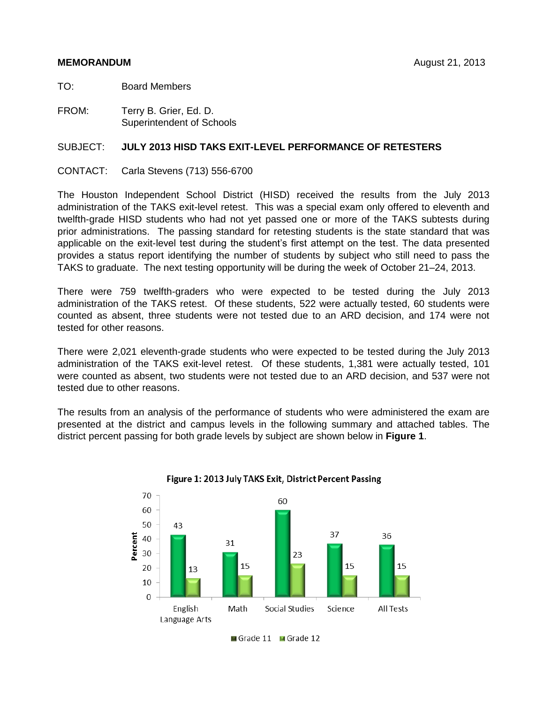### **MEMORANDUM** August 21, 2013

TO: Board Members

FROM: Terry B. Grier, Ed. D. Superintendent of Schools

## SUBJECT: **JULY 2013 HISD TAKS EXIT-LEVEL PERFORMANCE OF RETESTERS**

CONTACT: Carla Stevens (713) 556-6700

The Houston Independent School District (HISD) received the results from the July 2013 administration of the TAKS exit-level retest. This was a special exam only offered to eleventh and twelfth-grade HISD students who had not yet passed one or more of the TAKS subtests during prior administrations. The passing standard for retesting students is the state standard that was applicable on the exit-level test during the student's first attempt on the test. The data presented provides a status report identifying the number of students by subject who still need to pass the TAKS to graduate. The next testing opportunity will be during the week of October 21–24, 2013.

There were 759 twelfth-graders who were expected to be tested during the July 2013 administration of the TAKS retest. Of these students, 522 were actually tested, 60 students were counted as absent, three students were not tested due to an ARD decision, and 174 were not tested for other reasons.

There were 2,021 eleventh-grade students who were expected to be tested during the July 2013 administration of the TAKS exit-level retest. Of these students, 1,381 were actually tested, 101 were counted as absent, two students were not tested due to an ARD decision, and 537 were not tested due to other reasons.

The results from an analysis of the performance of students who were administered the exam are presented at the district and campus levels in the following summary and attached tables. The district percent passing for both grade levels by subject are shown below in **Figure 1**.



Figure 1: 2013 July TAKS Exit, District Percent Passing

Grade 11 Grade 12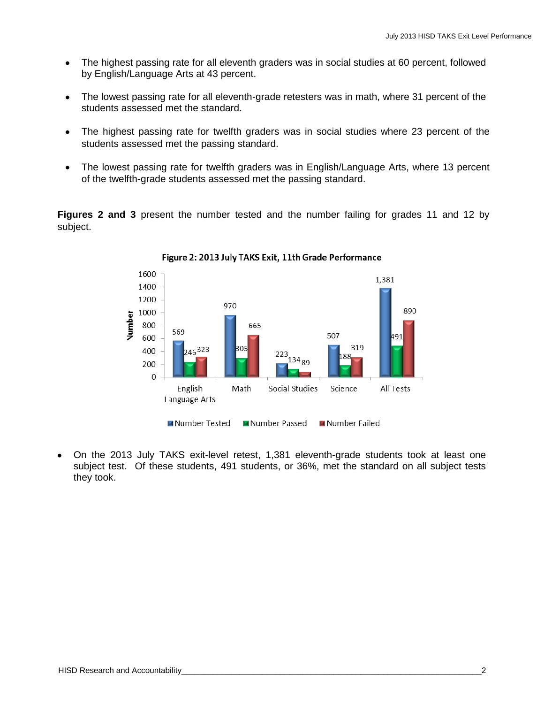- The highest passing rate for all eleventh graders was in social studies at 60 percent, followed  $\bullet$ by English/Language Arts at 43 percent.
- $\bullet$ The lowest passing rate for all eleventh-grade retesters was in math, where 31 percent of the students assessed met the standard.
- The highest passing rate for twelfth graders was in social studies where 23 percent of the  $\bullet$ students assessed met the passing standard.
- The lowest passing rate for twelfth graders was in English/Language Arts, where 13 percent  $\bullet$ of the twelfth-grade students assessed met the passing standard.

**Figures 2 and 3** present the number tested and the number failing for grades 11 and 12 by subject.



Figure 2: 2013 July TAKS Exit, 11th Grade Performance

On the 2013 July TAKS exit-level retest, 1,381 eleventh-grade students took at least one subject test. Of these students, 491 students, or 36%, met the standard on all subject tests they took.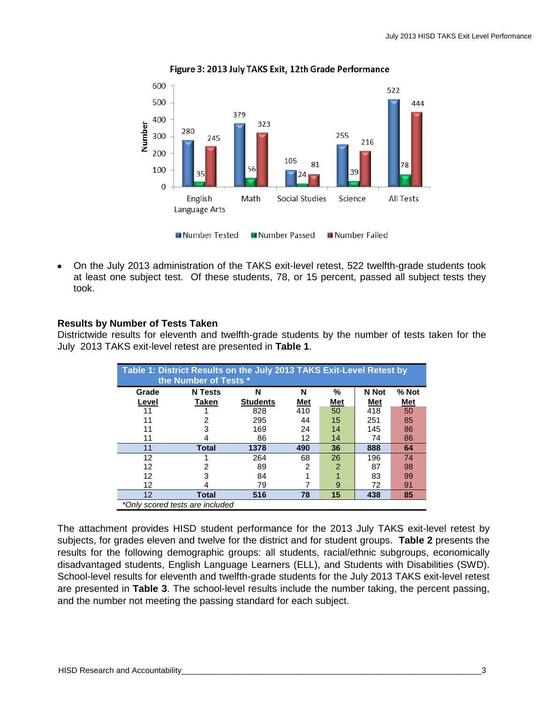

Figure 3: 2013 July TAKS Exit, 12th Grade Performance

On the July 2013 administration of the TAKS exit-level retest, 522 twelfth-grade students took at least one subject test. Of these students, 78, or 15 percent, passed all subject tests they took.

# **Results by Number of Tests Taken**

Districtwide results for eleventh and twelfth-grade students by the number of tests taken for the July 2013 TAKS exit-level retest are presented in **Table 1**.

|       | Table 1: District Results on the July 2013 TAKS Exit-Level Retest by<br>the Number of Tests * |                 |            |     |       |         |  |  |  |  |  |  |  |  |  |
|-------|-----------------------------------------------------------------------------------------------|-----------------|------------|-----|-------|---------|--|--|--|--|--|--|--|--|--|
| Grade | <b>N</b> Tests                                                                                | N               | N          | %   | N Not | $%$ Not |  |  |  |  |  |  |  |  |  |
| Level | Taken                                                                                         | <b>Students</b> | <u>Met</u> | Met | Met   | Met     |  |  |  |  |  |  |  |  |  |
| 11    |                                                                                               | 828             | 410        | 50  | 418   | 50      |  |  |  |  |  |  |  |  |  |
| 11    |                                                                                               | 295             | 44         | 15  | 251   | 85      |  |  |  |  |  |  |  |  |  |
| 11    | 3                                                                                             | 169             | 24         | 14  | 145   | 86      |  |  |  |  |  |  |  |  |  |
| 11    | 4                                                                                             | 86              | 12         | 14  | 74    | 86      |  |  |  |  |  |  |  |  |  |
| 11    | <b>Total</b>                                                                                  | 1378            | 490        | 36  | 888   | 64      |  |  |  |  |  |  |  |  |  |
| 12    |                                                                                               | 264             | 68         | 26  | 196   | 74      |  |  |  |  |  |  |  |  |  |
| 12    | 2                                                                                             | 89              | 2          | 2   | 87    | 98      |  |  |  |  |  |  |  |  |  |
| 12    | 3                                                                                             | 84              |            |     | 83    | 99      |  |  |  |  |  |  |  |  |  |
| 12    | 4                                                                                             | 79              |            | 9   | 72    | 91      |  |  |  |  |  |  |  |  |  |
| 12    | Total                                                                                         | 516             | 78         | 15  | 438   | 85      |  |  |  |  |  |  |  |  |  |
|       | *Only scored tests are included                                                               |                 |            |     |       |         |  |  |  |  |  |  |  |  |  |

The attachment provides HISD student performance for the 2013 July TAKS exit-level retest by subjects, for grades eleven and twelve for the district and for student groups. **Table 2** presents the results for the following demographic groups: all students, racial/ethnic subgroups, economically disadvantaged students, English Language Learners (ELL), and Students with Disabilities (SWD). School-level results for eleventh and twelfth-grade students for the July 2013 TAKS exit-level retest are presented in **Table 3**. The school-level results include the number taking, the percent passing, and the number not meeting the passing standard for each subject.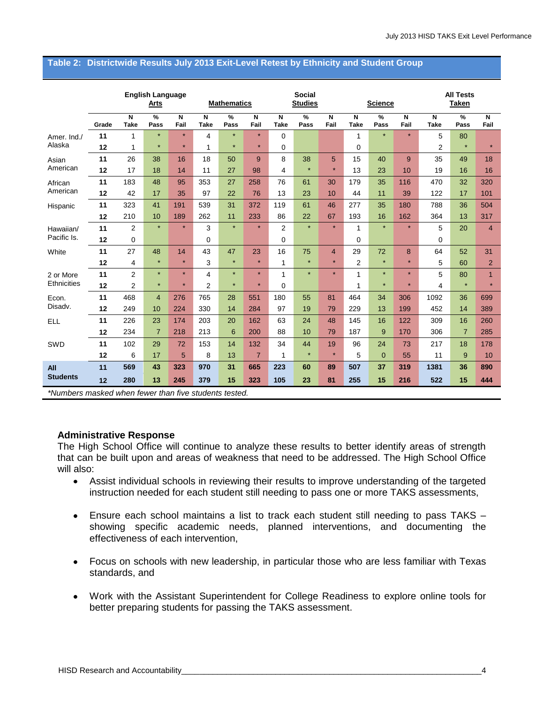|                               |               |                                        | <b>English Language</b><br><b>Arts</b> |                                        |                                        | <b>Mathematics</b>    |                                 |                                        | <b>Social</b><br><b>Studies</b> |                |                  | <b>Science</b> |           | <b>All Tests</b><br><b>Taken</b> |                |                |
|-------------------------------|---------------|----------------------------------------|----------------------------------------|----------------------------------------|----------------------------------------|-----------------------|---------------------------------|----------------------------------------|---------------------------------|----------------|------------------|----------------|-----------|----------------------------------|----------------|----------------|
|                               | Grade         | $\overline{\mathsf{N}}$<br><b>Take</b> | %<br>Pass                              | Ñ<br>Fail                              | $\overline{\mathsf{N}}$<br><b>Take</b> | $\frac{9}{6}$<br>Pass | $\overline{\mathsf{N}}$<br>Fail | $\overline{\mathsf{N}}$<br><b>Take</b> | %<br>Pass                       | N<br>Fail      | N<br><b>Take</b> | %<br>Pass      | N<br>Fail | N<br><b>Take</b>                 | %<br>Pass      | N<br>Fail      |
| Amer. Ind./                   | 11            | 1                                      | $\star$                                | $\star$                                | $\overline{4}$                         | $\star$               | $\star$                         | $\Omega$                               |                                 |                | 1                | $\star$        | $\star$   | 5                                | 80             |                |
| Alaska                        | 12            | 1                                      | $\star$                                | $\star$                                | 1                                      | $\star$               | $\star$                         | 0                                      |                                 |                | 0                |                |           | 2                                | $\star$        | $\star$        |
| Asian                         | 11            | 26                                     | 38                                     | 16                                     | 18                                     | 50                    | 9                               | 8                                      | 38                              | 5              | 15               | 40             | 9         | 35                               | 49             | 18             |
| American                      | 12            | 17                                     | 18                                     | 14                                     | 11                                     | 27                    | 98                              | 4                                      | $\star$                         | $\star$        | 13               | 23             | 10        | 19                               | 16             | 16             |
| African                       | 11            | 183                                    | 48                                     | 95                                     | 353                                    | 27                    | 258                             | 76                                     | 61                              | 30             | 179              | 35             | 116       | 470                              | 32             | 320            |
| American                      | 12            | 42                                     | 17                                     | 35                                     | 97                                     | 22                    | 76                              | 13                                     | 23                              | 10             | 44               | 11             | 39        | 122                              | 17             | 101            |
| Hispanic                      | 11            | 323                                    | 41                                     | 191                                    | 539                                    | 31                    | 372                             | 119                                    | 61                              | 46             | 277              | 35             | 180       | 788                              | 36             | 504            |
|                               | 12            | 210                                    | 10                                     | 189                                    | 262                                    | 11                    | 233                             | 86                                     | 22                              | 67             | 193              | 16             | 162       | 364                              | 13             | 317            |
| Hawaiian/                     | 11            | 2                                      | $\star$                                | $\star$                                | 3                                      | $\star$               | $\star$                         | $\overline{2}$                         | $\star$                         | $\star$        | 1                | $\star$        | $\star$   | 5                                | 20             | 4              |
| Pacific Is.                   | 12            | 0                                      |                                        |                                        | 0                                      |                       |                                 | 0                                      |                                 |                | 0                |                |           | 0                                |                |                |
| White                         | 11            | 27                                     | 48                                     | 14                                     | 43                                     | 47                    | 23                              | 16                                     | 75                              | $\overline{4}$ | 29               | 72             | 8         | 64                               | 52             | 31             |
|                               | 12            | 4                                      | $\star$                                | $\star$                                | 3                                      | $\star$               | $\star$                         | 1                                      | $\star$                         | $\star$        | $\overline{2}$   | $\star$        | ÷         | 5                                | 60             | $\overline{2}$ |
| 2 or More                     | 11            | $\overline{2}$                         | $\star$                                | $\star$                                | 4                                      | $\star$               | $\star$                         | 1                                      | $\star$                         | $\star$        | 1                | $\star$        | $\star$   | 5                                | 80             | $\mathbf{1}$   |
| <b>Ethnicities</b>            | 12            | 2                                      | $\star$                                | $\star$                                | $\overline{2}$                         | $\star$               | $\star$                         | 0                                      |                                 |                | 1                | $\star$        | $\star$   | 4                                | $\star$        | $\star$        |
| Econ.                         | 11            | 468                                    | $\overline{4}$                         | 276                                    | 765                                    | 28                    | 551                             | 180                                    | 55                              | 81             | 464              | 34             | 306       | 1092                             | 36             | 699            |
| Disadv.                       | 12            | 249                                    | 10                                     | 224                                    | 330                                    | 14                    | 284                             | 97                                     | 19                              | 79             | 229              | 13             | 199       | 452                              | 14             | 389            |
| <b>ELL</b>                    | 11            | 226                                    | 23                                     | 174                                    | 203                                    | 20                    | 162                             | 63                                     | 24                              | 48             | 145              | 16             | 122       | 309                              | 16             | 260            |
|                               | 12            | 234                                    | $\overline{7}$                         | 218                                    | 213                                    | 6                     | 200                             | 88                                     | 10                              | 79             | 187              | 9              | 170       | 306                              | $\overline{7}$ | 285            |
| SWD                           | 11            | 102                                    | 29                                     | 72                                     | 153                                    | 14                    | 132                             | 34                                     | 44                              | 19             | 96               | 24             | 73        | 217                              | 18             | 178            |
|                               | 12            | 6                                      | 17                                     | 5                                      | 8                                      | 13                    | $\overline{7}$                  | 1                                      | $\star$                         | $\star$        | 5                | $\overline{0}$ | 55        | 11                               | 9              | 10             |
| All                           | 11            | 569                                    | 43                                     | 323                                    | 970                                    | 31                    | 665                             | 223                                    | 60                              | 89             | 507              | 37             | 319       | 1381                             | 36             | 890            |
| <b>Students</b>               | 12            | 280                                    | 13                                     | 245                                    | 379                                    | 15                    | 323                             | 105                                    | 23                              | 81             | 255              | 15             | 216       | 522                              | 15             | 444            |
| $*$ $\mathsf{A}$ $\mathsf{L}$ | ودام مرام ممي |                                        |                                        | dena fouvou thom five otypicate tootad |                                        |                       |                                 |                                        |                                 |                |                  |                |           |                                  |                |                |

#### **Table 2: Districtwide Results July 2013 Exit-Level Retest by Ethnicity and Student Group**

*\*Numbers masked when fewer than five students tested.*

## **Administrative Response**

The High School Office will continue to analyze these results to better identify areas of strength that can be built upon and areas of weakness that need to be addressed. The High School Office will also:

- Assist individual schools in reviewing their results to improve understanding of the targeted instruction needed for each student still needing to pass one or more TAKS assessments,
- Ensure each school maintains a list to track each student still needing to pass TAKS showing specific academic needs, planned interventions, and documenting the effectiveness of each intervention,
- Focus on schools with new leadership, in particular those who are less familiar with Texas standards, and
- Work with the Assistant Superintendent for College Readiness to explore online tools for better preparing students for passing the TAKS assessment.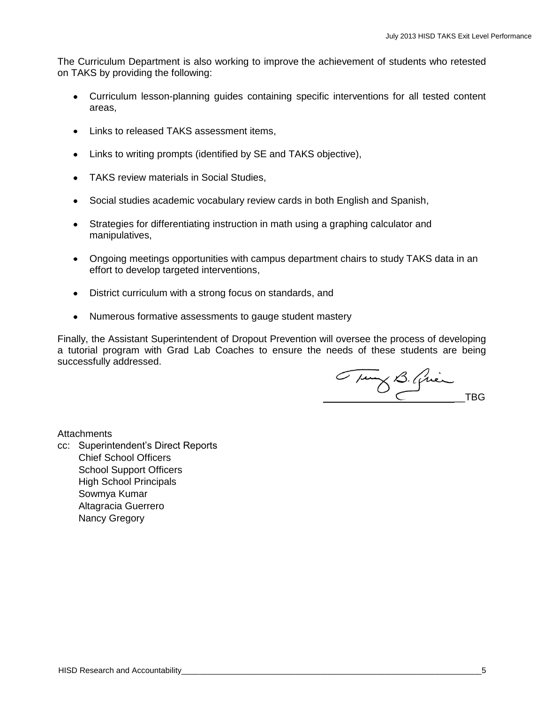The Curriculum Department is also working to improve the achievement of students who retested on TAKS by providing the following:

- Curriculum lesson-planning guides containing specific interventions for all tested content areas,
- Links to released TAKS assessment items,
- Links to writing prompts (identified by SE and TAKS objective),
- TAKS review materials in Social Studies,
- Social studies academic vocabulary review cards in both English and Spanish,
- Strategies for differentiating instruction in math using a graphing calculator and manipulatives,
- Ongoing meetings opportunities with campus department chairs to study TAKS data in an effort to develop targeted interventions,
- District curriculum with a strong focus on standards, and
- Numerous formative assessments to gauge student mastery

Finally, the Assistant Superintendent of Dropout Prevention will oversee the process of developing a tutorial program with Grad Lab Coaches to ensure the needs of these students are being successfully addressed.

Thing B. Quinch TBG

**Attachments** 

cc: Superintendent's Direct Reports Chief School Officers School Support Officers High School Principals Sowmya Kumar Altagracia Guerrero Nancy Gregory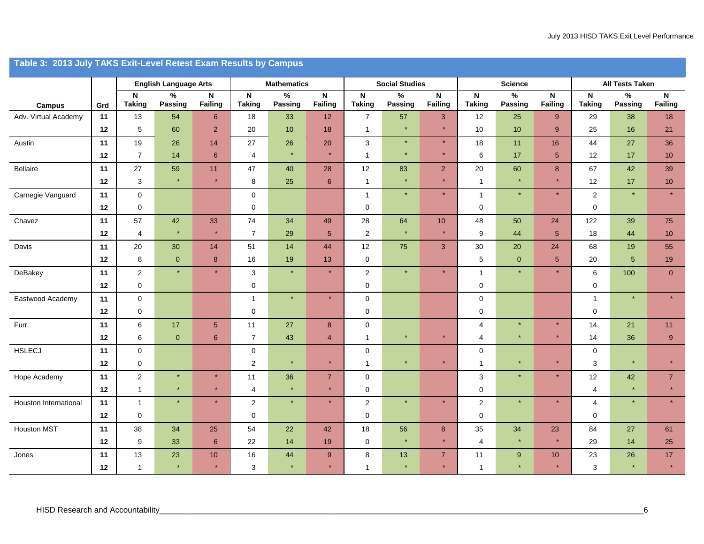|                       | Table 3: 2013 July TAKS Exit-Level Retest Exam Results by Campus |                         |                              |                     |                              |                    |                               |                     |                       |                           |                            |                 |                     |                               |                        |                  |
|-----------------------|------------------------------------------------------------------|-------------------------|------------------------------|---------------------|------------------------------|--------------------|-------------------------------|---------------------|-----------------------|---------------------------|----------------------------|-----------------|---------------------|-------------------------------|------------------------|------------------|
|                       |                                                                  |                         | <b>English Language Arts</b> |                     |                              | <b>Mathematics</b> |                               |                     | <b>Social Studies</b> |                           |                            | <b>Science</b>  |                     |                               | <b>All Tests Taken</b> |                  |
| Campus                | Grd                                                              | N<br><b>Taking</b>      | $\%$<br>Passing              | N<br><b>Failing</b> | $\mathsf N$<br><b>Taking</b> | $\%$<br>Passing    | $\mathbf N$<br><b>Failing</b> | N<br><b>Taking</b>  | $\%$<br>Passing       | N<br><b>Failing</b>       | ${\sf N}$<br><b>Taking</b> | $\%$<br>Passing | N<br><b>Failing</b> | $\mathsf{N}$<br><b>Taking</b> | $\%$<br>Passing        | N<br>Failing     |
| Adv. Virtual Academy  | 11                                                               | 13                      | 54                           | 6                   | 18                           | 33                 | 12                            | $\overline{7}$      | 57                    | 3                         | 12                         | 25              | 9                   | 29                            | 38                     | 18               |
|                       | 12                                                               | $5\,$                   | 60                           | $\overline{2}$      | 20                           | 10                 | 18                            | $\overline{1}$      |                       | $\star$                   | 10                         | 10              | 9                   | 25                            | 16                     | 21               |
| Austin                | $11$                                                             | $19$                    | 26                           | 14                  | $27\,$                       | 26                 | 20                            | $\mathbf{3}$        | $\star$               | $\star$                   | 18                         | 11              | $16\,$              | 44                            | 27                     | 36               |
|                       | 12                                                               | $\overline{7}$          | 14                           | 6                   | 4                            | $\star$            | $\star$                       | $\overline{1}$      | $\star$               | $\star$                   | $\,6\,$                    | 17              | $\overline{5}$      | 12                            | 17                     | 10 <sub>1</sub>  |
| Bellaire              | 11                                                               | 27                      | 59                           | 11                  | 47                           | 40                 | 28                            | 12                  | 83                    | 2 <sup>1</sup>            | 20                         | 60              | $\bf 8$             | 67                            | 42                     | 39               |
|                       | 12                                                               | $\mathbf{3}$            | $\star$                      | $\star$             | 8                            | 25                 | $\,$ 6 $\,$                   | $\mathbf{1}$        | $\star$               | $\star$                   | $\mathbf{1}$               | $\star$         | $\star$             | 12                            | 17                     | $10$             |
| Carnegie Vanguard     | 11                                                               | $\mathbf 0$             |                              |                     | $\mathbf 0$                  |                    |                               | $\mathbf{1}$        | $\star$               | $\star$                   | $\mathbf{1}$               | $\star$         | $\star$             | $\overline{2}$                |                        |                  |
|                       | 12                                                               | $\mathbf 0$             |                              |                     | $\mathbf 0$                  |                    |                               | $\mathbf 0$         |                       |                           | 0                          |                 |                     | $\mathbf 0$                   |                        |                  |
| Chavez                | 11                                                               | 57                      | $42\,$                       | 33                  | 74                           | 34                 | 49                            | 28                  | 64                    | $10$                      | 48                         | 50              | 24                  | 122                           | 39                     | 75               |
|                       | 12                                                               | $\overline{\mathbf{4}}$ | $\star$                      | $\star$             | $\overline{7}$               | 29                 | $\sqrt{5}$                    | $\overline{2}$      |                       | $\star$                   | 9                          | 44              | $\overline{5}$      | 18                            | 44                     | $10$             |
| Davis                 | 11                                                               | $20\,$                  | 30                           | 14                  | 51                           | 14                 | 44                            | 12                  | 75                    | 3                         | $30\,$                     | $20\,$          | 24                  | 68                            | 19                     | 55               |
|                       | 12                                                               | 8                       | $\pmb{0}$                    | 8                   | 16                           | 19                 | 13                            | $\mathbf 0$         |                       |                           | 5                          | $\mathbf 0$     | $5\phantom{.0}$     | 20                            | 5 <sup>5</sup>         | 19               |
| DeBakey               | 11                                                               | $\overline{2}$          | $\star$                      | $\star$             | 3                            | $\star$            | $\star$                       | $\overline{2}$      | $\star$               | $\star$                   | $\mathbf{1}$               | $\star$         | $\star$             | 6                             | 100                    | $\overline{0}$   |
|                       | 12                                                               | $\pmb{0}$               |                              |                     | $\mathbf 0$                  |                    |                               | $\pmb{0}$           |                       |                           | $\pmb{0}$                  |                 |                     | 0                             |                        |                  |
| Eastwood Academy      | 11                                                               | $\pmb{0}$               |                              |                     | $\mathbf{1}$                 |                    | $\star$                       | $\mathsf{O}\xspace$ |                       |                           | 0                          |                 |                     | $\overline{1}$                |                        |                  |
|                       | 12                                                               | $\mathsf 0$             |                              |                     | $\mathbf 0$                  |                    |                               | $\mathbf 0$         |                       |                           | $\pmb{0}$                  |                 |                     | 0                             |                        |                  |
| Furr                  | 11                                                               | 6                       | 17                           | $\sqrt{5}$          | 11                           | 27                 | 8                             | $\mathsf 0$         |                       |                           | 4                          | $\star$         | $\star$             | 14                            | 21                     | 11               |
|                       | 12                                                               | 6                       | $\mathbf{0}$                 | 6                   | $\overline{7}$               | 43                 | $\overline{4}$                | $\mathbf{1}$        |                       | $\star$                   | 4                          | $\star$         | $\star$             | 14                            | 36                     | $\boldsymbol{9}$ |
| <b>HSLECJ</b>         | 11                                                               | $\pmb{0}$               |                              |                     | $\mathsf 0$                  |                    |                               | $\mathsf 0$         |                       |                           | $\pmb{0}$                  |                 |                     | $\mathbf 0$                   |                        |                  |
|                       | 12                                                               | $\pmb{0}$               |                              |                     | $\overline{2}$               | $\star$            | $\star$                       | $\mathbf{1}$        | $\star$               | $\star$                   | 1                          | $\star$         | $\star$             | 3                             |                        | $\star$          |
| Hope Academy          | 11                                                               | $\overline{2}$          | $\star$<br>$\star$           | $\star$             | 11                           | 36                 | $\overline{7}$<br>$\star$     | $\mathsf{O}\xspace$ |                       |                           | $\sqrt{3}$                 | $\star$         | $\star$             | 12                            | 42                     | $\overline{7}$   |
|                       | 12                                                               | $\mathbf{1}$            |                              | $\star$<br>$\star$  | 4                            |                    | $\star$                       | $\mathbf 0$         |                       | $\star$                   | 0                          | $\star$         | $\star$             | 4                             |                        |                  |
| Houston International | 11                                                               | $\mathbf{1}$            | $\star$                      |                     | $\overline{2}$               |                    |                               | $\overline{2}$      |                       |                           | $\overline{2}$             |                 |                     | 4                             |                        |                  |
|                       | 12                                                               | $\mathsf 0$             |                              |                     | $\mathbf 0$                  |                    |                               | $\mathsf 0$         |                       |                           | $\pmb{0}$                  |                 |                     | $\mathbf 0$                   |                        |                  |
| <b>Houston MST</b>    | 11                                                               | 38                      | 34                           | 25                  | 54                           | 22                 | 42                            | 18                  | 56<br>$\star$         | $\bf8$<br>$\star$         | 35                         | 34<br>$\star$   | 23<br>$\star$       | 84                            | 27                     | 61               |
|                       | 12                                                               | $\boldsymbol{9}$        | 33                           | $\boldsymbol{6}$    | 22                           | 14                 | 19                            | $\mathbf 0$         |                       |                           | $\overline{4}$             |                 |                     | 29                            | 14                     | 25               |
| Jones                 | 11                                                               | 13                      | 23<br>$\star$                | 10<br>$\star$       | 16                           | 44                 | 9                             | 8<br>$\overline{1}$ | 13                    | $\overline{7}$<br>$\star$ | 11                         | 9               | 10                  | 23                            | 26                     | 17               |
|                       | 12                                                               | $\mathbf{1}$            |                              |                     | 3                            |                    |                               |                     |                       |                           | 1                          |                 |                     | 3                             |                        |                  |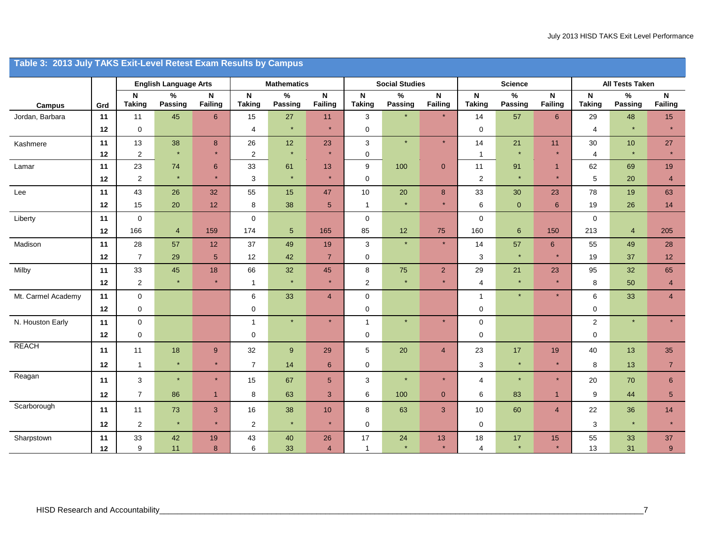|                    | Table 3: 2013 July TAKS Exit-Level Retest Exam Results by Campus |                       |                              |                                |                              |                    |                         |                               |                       |                        |                                            |                 |                        |                              |                 |                               |  |
|--------------------|------------------------------------------------------------------|-----------------------|------------------------------|--------------------------------|------------------------------|--------------------|-------------------------|-------------------------------|-----------------------|------------------------|--------------------------------------------|-----------------|------------------------|------------------------------|-----------------|-------------------------------|--|
|                    |                                                                  |                       | <b>English Language Arts</b> |                                |                              | <b>Mathematics</b> |                         |                               | <b>Social Studies</b> |                        |                                            | <b>Science</b>  |                        | <b>All Tests Taken</b>       |                 |                               |  |
| Campus             | Grd                                                              | $\mathsf N$<br>Taking | $\%$<br>Passing              | $\mathsf{N}\xspace$<br>Failing | $\mathbf N$<br><b>Taking</b> | $\%$<br>Passing    | $\mathsf{N}$<br>Failing | $\mathsf{N}$<br><b>Taking</b> | %<br>Passing          | $\mathsf N$<br>Failing | $\boldsymbol{\mathsf{N}}$<br><b>Taking</b> | $\%$<br>Passing | $\mathsf N$<br>Failing | $\mathsf N$<br><b>Taking</b> | $\%$<br>Passing | $\mathsf N$<br><b>Failing</b> |  |
| Jordan, Barbara    | 11                                                               | 11                    | 45                           | $\boldsymbol{6}$               | 15                           | 27                 | 11                      | $\mathbf{3}$                  |                       | $\star$                | 14                                         | 57              | $\boldsymbol{6}$       | 29                           | 48              | 15                            |  |
|                    | 12                                                               | $\mathbf 0$           |                              |                                | 4                            | $\star$            | $\star$                 | $\mathbf 0$                   |                       |                        | 0                                          |                 |                        | $\overline{4}$               | $\star$         | $\star$                       |  |
| Kashmere           | 11                                                               | 13                    | $38\,$                       | $\bf 8$                        | 26                           | 12                 | 23                      | $\mathbf{3}$                  | $\star$               | $\star$                | 14                                         | 21              | 11                     | 30                           | 10              | 27                            |  |
|                    | 12                                                               | 2                     | $\star$                      | $\star$                        | 2                            | $\star$            | $\star$                 | $\mathbf 0$                   |                       |                        | $\mathbf{1}$                               | $\star$         | $\star$                | $\overline{4}$               | $\star$         | $\star$                       |  |
| Lamar              | $11$                                                             | 23                    | ${\bf 74}$                   | $\boldsymbol{6}$               | 33                           | 61                 | 13                      | 9                             | 100                   | $\overline{0}$         | 11                                         | 91              | $\mathbf{1}$           | 62                           | 69              | 19                            |  |
|                    | 12                                                               | $\overline{2}$        | $\ast$                       | $\star$                        | 3                            | $\star$            | $\star$                 | $\mathbf 0$                   |                       |                        | $\overline{2}$                             | $\star$         | $\star$                | 5                            | 20              | $\overline{4}$                |  |
| Lee                | 11                                                               | 43                    | 26                           | 32                             | 55                           | 15                 | 47                      | 10                            | $20\,$                | 8                      | 33                                         | $30\,$          | 23                     | 78                           | 19              | 63                            |  |
|                    | 12                                                               | 15                    | 20                           | 12                             | 8                            | 38                 | $5\phantom{.0}$         | $\mathbf{1}$                  | $\star$               | $\star$                | 6                                          | $\mathbf 0$     | 6                      | 19                           | 26              | 14                            |  |
| Liberty            | 11                                                               | $\mathbf 0$           |                              |                                | 0                            |                    |                         | $\mathbf 0$                   |                       |                        | 0                                          |                 |                        | $\mathbf 0$                  |                 |                               |  |
|                    | 12                                                               | 166                   | $\overline{4}$               | 159                            | 174                          | $5\phantom{.0}$    | 165                     | 85                            | 12                    | 75                     | 160                                        | $\,$ 6 $\,$     | 150                    | 213                          | $\overline{4}$  | 205                           |  |
| Madison            | 11                                                               | 28                    | 57                           | 12                             | 37                           | 49                 | 19                      | $\mathbf{3}$                  | $\star$               | $\star$                | 14                                         | 57              | $6\phantom{.}$         | 55                           | 49              | 28                            |  |
|                    | 12                                                               | $\overline{7}$        | 29                           | $\sqrt{5}$                     | 12                           | 42                 | $\overline{7}$          | $\mathbf 0$                   |                       |                        | 3                                          | $\star$         | $\star$                | 19                           | 37              | 12                            |  |
| Milby              | 11                                                               | 33                    | 45                           | 18                             | 66                           | 32                 | 45                      | $\bf 8$                       | 75                    | $\overline{2}$         | 29                                         | 21              | 23                     | 95                           | 32              | 65                            |  |
|                    | 12                                                               | 2                     | $\star$                      | $\star$                        | $\mathbf{1}$                 | $\star$            | $\star$                 | $\overline{2}$                | $\star$               | $\star$                | 4                                          | $\star$         | $\star$                | 8                            | 50              | $\overline{4}$                |  |
| Mt. Carmel Academy | 11                                                               | $\pmb{0}$             |                              |                                | 6                            | 33                 | $\overline{4}$          | $\mathbf 0$                   |                       |                        | $\mathbf{1}$                               | $\star$         | $\star$                | 6                            | 33              | $\overline{4}$                |  |
|                    | 12                                                               | $\mathsf 0$           |                              |                                | 0                            |                    |                         | $\mathbf 0$                   |                       |                        | $\pmb{0}$                                  |                 |                        | $\mathbf 0$                  |                 |                               |  |
| N. Houston Early   | 11                                                               | $\pmb{0}$             |                              |                                | $\mathbf{1}$                 | $\star$            | $\star$                 | $\mathbf{1}$                  | $\star$               | $\star$                | $\pmb{0}$                                  |                 |                        | $\overline{2}$               | $\star$         | $\star$                       |  |
|                    | 12                                                               | $\mathsf 0$           |                              |                                | $\mathbf 0$                  |                    |                         | $\mathbf 0$                   |                       |                        | $\pmb{0}$                                  |                 |                        | $\mathsf 0$                  |                 |                               |  |
| <b>REACH</b>       | 11                                                               | $11$                  | $18$                         | $\boldsymbol{9}$               | $32\,$                       | $9\,$              | 29                      | $\sqrt{5}$                    | $20\,$                | $\overline{4}$         | 23                                         | $17\,$          | $19$                   | 40                           | 13              | 35                            |  |
|                    | 12                                                               | $\mathbf{1}$          | $\star$                      | $\star$                        | $\overline{7}$               | 14                 | $\,$ 6 $\,$             | $\mathbf 0$                   |                       |                        | $\ensuremath{\mathsf{3}}$                  | $\star$         | $\star$                | 8                            | 13              | $\overline{7}$                |  |
| Reagan             | 11                                                               | 3                     | $\star$                      | $\star$                        | 15                           | 67                 | 5 <sup>5</sup>          | 3                             | $\star$               | $\star$                | $\overline{4}$                             | $\star$         | $\star$                | 20                           | 70              | $6^{\circ}$                   |  |
|                    | 12                                                               | $\overline{7}$        | 86                           | $\mathbf{1}$                   | 8                            | 63                 | $\mathbf{3}$            | 6                             | 100                   | $\mathbf{0}$           | 6                                          | 83              | $\mathbf{1}$           | 9                            | 44              | $5\phantom{.0}$               |  |
| Scarborough        | 11                                                               | 11                    | 73                           | $\sqrt{3}$                     | 16                           | 38                 | 10 <sup>°</sup>         | 8                             | 63                    | 3 <sup>1</sup>         | 10                                         | 60              | $\overline{4}$         | 22                           | 36              | 14                            |  |
|                    | 12                                                               | $\boldsymbol{2}$      | $\star$                      | $\star$                        | $\sqrt{2}$                   | $\star$            | $\star$                 | $\mathbf 0$                   |                       |                        | 0                                          |                 |                        | 3                            | $\star$         | $\star$                       |  |
| Sharpstown         | 11<br>12                                                         | 33<br>9               | 42<br>11                     | 19<br>8                        | 43<br>6                      | 40<br>33           | 26<br>$\overline{4}$    | 17<br>$\overline{1}$          | 24                    | 13<br>$\star$          | 18<br>$\overline{4}$                       | $17$<br>$\star$ | $15\,$                 | 55<br>13                     | 33<br>31        | 37<br>$9\,$                   |  |